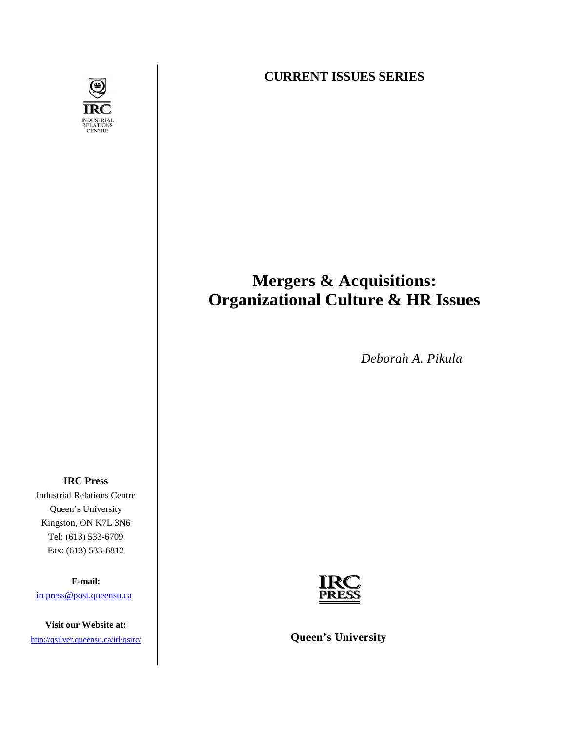

**CURRENT ISSUES SERIES**

# **Mergers & Acquisitions: Organizational Culture & HR Issues**

*Deborah A. Pikula*

**IRC Press**  Industrial Relations Centre Queen's University Kingston, ON K7L 3N6 Tel: (613) 533-6709 Fax: (613) 533-6812

**E-mail:**

[ircpress@post.queensu.ca](mailto:ircpress@post.queensu.ca)

**Visit our Website at:** 



<http://qsilver.queensu.ca/irl/qsirc/> **Queen's University**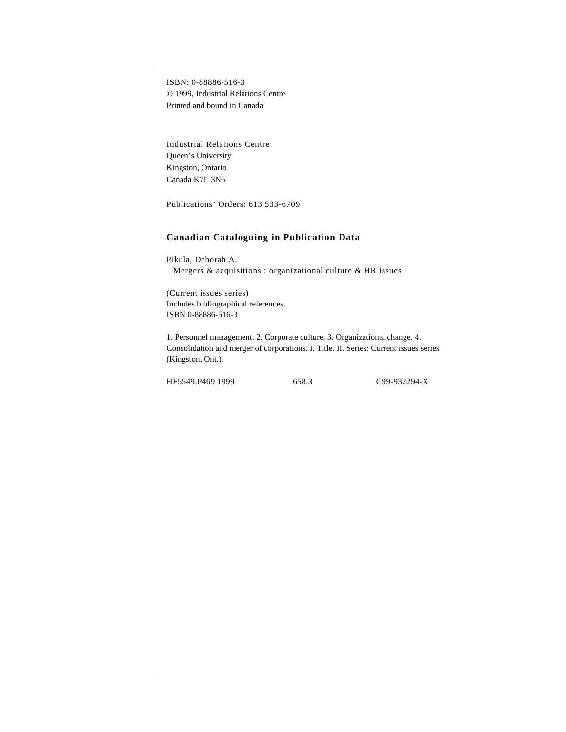ISBN: 0-88886-516-3 © 1999, Industrial Relations Centre Printed and bound in Canada

Industrial Relations Centre Queen's University Kingston, Ontario Canada K7L 3N6

Publications' Orders: 613 533-6709

### **Canadian Cataloguing in Publication Data**

Pikula, Deborah A. Mergers & acquisitions : organizational culture & HR issues

(Current issues series) Includes bibliographical references. ISBN 0-88886-516-3

1. Personnel management. 2. Corporate culture. 3. Organizational change. 4. Consolidation and merger of corporations. I. Title. II. Series: Current issues series (Kingston, Ont.).

HF5549.P469 1999 658.3 C99-932294-X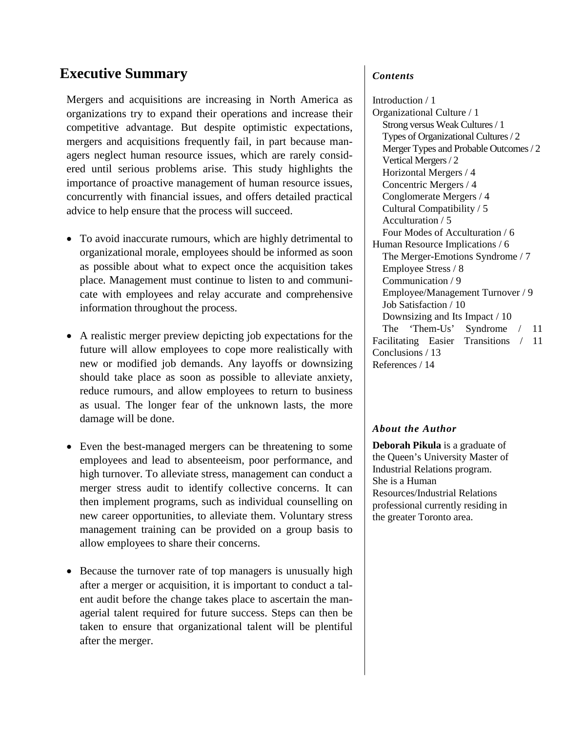# **Executive Summary**

Mergers and acquisitions are increasing in North America as organizations try to expand their operations and increase their competitive advantage. But despite optimistic expectations, mergers and acquisitions frequently fail, in part because managers neglect human resource issues, which are rarely considered until serious problems arise. This study highlights the importance of proactive management of human resource issues, concurrently with financial issues, and offers detailed practical advice to help ensure that the process will succeed.

- To avoid inaccurate rumours, which are highly detrimental to organizational morale, employees should be informed as soon as possible about what to expect once the acquisition takes place. Management must continue to listen to and communicate with employees and relay accurate and comprehensive information throughout the process.
- A realistic merger preview depicting job expectations for the future will allow employees to cope more realistically with new or modified job demands. Any layoffs or downsizing should take place as soon as possible to alleviate anxiety, reduce rumours, and allow employees to return to business as usual. The longer fear of the unknown lasts, the more damage will be done.
- Even the best-managed mergers can be threatening to some employees and lead to absenteeism, poor performance, and high turnover. To alleviate stress, management can conduct a merger stress audit to identify collective concerns. It can then implement programs, such as individual counselling on new career opportunities, to alleviate them. Voluntary stress management training can be provided on a group basis to allow employees to share their concerns.
- Because the turnover rate of top managers is unusually high after a merger or acquisition, it is important to conduct a talent audit before the change takes place to ascertain the managerial talent required for future success. Steps can then be taken to ensure that organizational talent will be plentiful after the merger.

### *Contents*

Introduction / 1 Organizational Culture / 1 Strong versus Weak Cultures / 1 Types of Organizational Cultures / 2 Merger Types and Probable Outcomes / 2 Vertical Mergers / 2 Horizontal Mergers / 4 Concentric Mergers / 4 Conglomerate Mergers / 4 Cultural Compatibility / 5 Acculturation / 5 Four Modes of Acculturation / 6 Human Resource Implications / 6 The Merger-Emotions Syndrome / 7 Employee Stress / 8 Communication / 9 Employee/Management Turnover / 9 Job Satisfaction / 10 Downsizing and Its Impact / 10 The 'Them-Us' Syndrome / 11 Facilitating Easier Transitions / 11 Conclusions / 13 References / 14

### *About the Author*

**Deborah Pikula** is a graduate of the Queen's University Master of Industrial Relations program. She is a Human Resources/Industrial Relations professional currently residing in the greater Toronto area.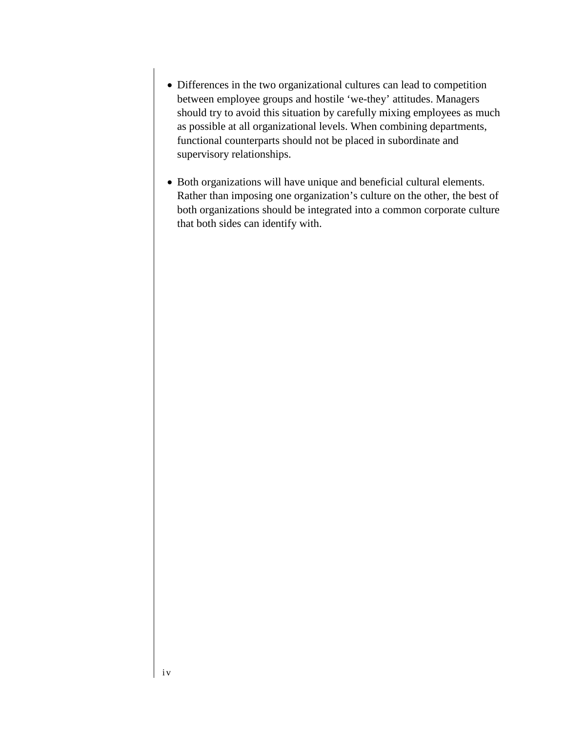- Differences in the two organizational cultures can lead to competition between employee groups and hostile 'we-they' attitudes. Managers should try to avoid this situation by carefully mixing employees as much as possible at all organizational levels. When combining departments, functional counterparts should not be placed in subordinate and supervisory relationships.
- Both organizations will have unique and beneficial cultural elements. Rather than imposing one organization's culture on the other, the best of both organizations should be integrated into a common corporate culture that both sides can identify with.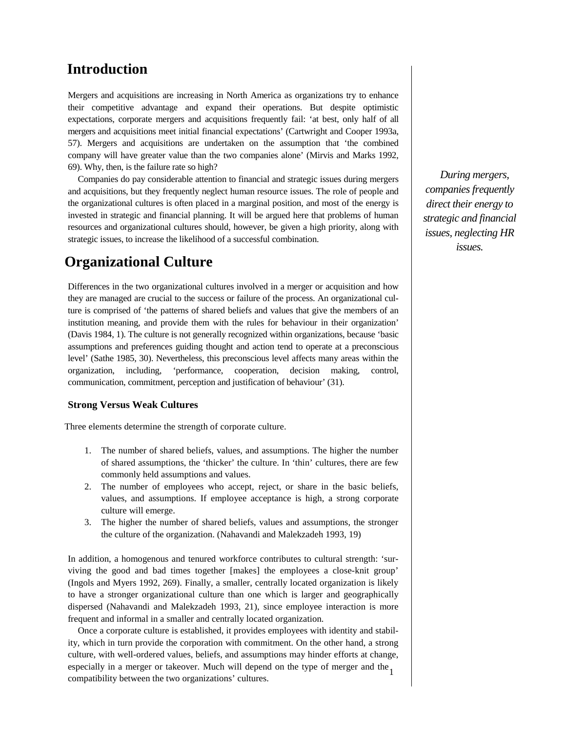### **Introduction**

Mergers and acquisitions are increasing in North America as organizations try to enhance their competitive advantage and expand their operations. But despite optimistic expectations, corporate mergers and acquisitions frequently fail: 'at best, only half of all mergers and acquisitions meet initial financial expectations' (Cartwright and Cooper 1993a, 57). Mergers and acquisitions are undertaken on the assumption that 'the combined company will have greater value than the two companies alone' (Mirvis and Marks 1992, 69). Why, then, is the failure rate so high?

Companies do pay considerable attention to financial and strategic issues during mergers and acquisitions, but they frequently neglect human resource issues. The role of people and the organizational cultures is often placed in a marginal position, and most of the energy is invested in strategic and financial planning. It will be argued here that problems of human resources and organizational cultures should, however, be given a high priority, along with strategic issues, to increase the likelihood of a successful combination.

# **Organizational Culture**

Differences in the two organizational cultures involved in a merger or acquisition and how they are managed are crucial to the success or failure of the process. An organizational culture is comprised of 'the patterns of shared beliefs and values that give the members of an institution meaning, and provide them with the rules for behaviour in their organization' (Davis 1984, 1). The culture is not generally recognized within organizations, because 'basic assumptions and preferences guiding thought and action tend to operate at a preconscious level' (Sathe 1985, 30). Nevertheless, this preconscious level affects many areas within the organization, including, 'performance, cooperation, decision making, control, communication, commitment, perception and justification of behaviour' (31).

### **Strong Versus Weak Cultures**

Three elements determine the strength of corporate culture.

- 1. The number of shared beliefs, values, and assumptions. The higher the number of shared assumptions, the 'thicker' the culture. In 'thin' cultures, there are few commonly held assumptions and values.
- 2. The number of employees who accept, reject, or share in the basic beliefs, values, and assumptions. If employee acceptance is high, a strong corporate culture will emerge.
- 3. The higher the number of shared beliefs, values and assumptions, the stronger the culture of the organization. (Nahavandi and Malekzadeh 1993, 19)

In addition, a homogenous and tenured workforce contributes to cultural strength: 'surviving the good and bad times together [makes] the employees a close-knit group' (Ingols and Myers 1992, 269). Finally, a smaller, centrally located organization is likely to have a stronger organizational culture than one which is larger and geographically dispersed (Nahavandi and Malekzadeh 1993, 21), since employee interaction is more frequent and informal in a smaller and centrally located organization.

especially in a merger or takeover. Much will depend on the type of merger and the 1 Once a corporate culture is established, it provides employees with identity and stability, which in turn provide the corporation with commitment. On the other hand, a strong culture, with well-ordered values, beliefs, and assumptions may hinder efforts at change, compatibility between the two organizations' cultures.

*During mergers, companies frequently direct their energy to strategic and financial issues, neglecting HR issues.*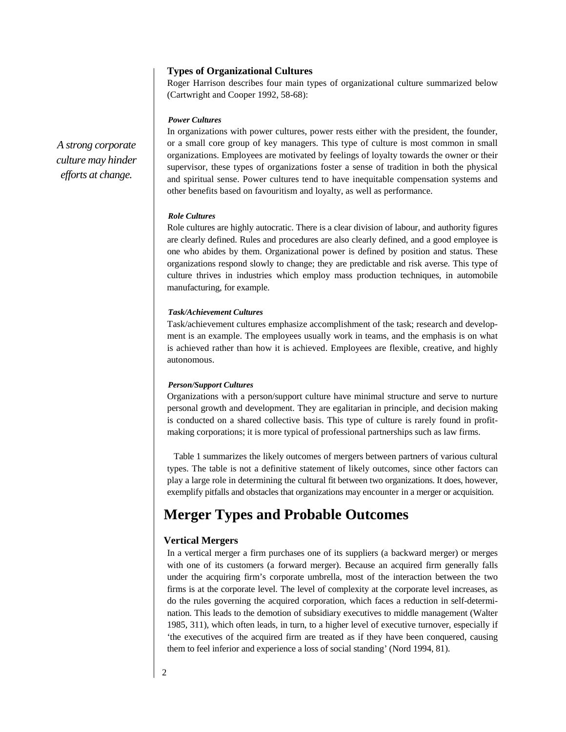### **Types of Organizational Cultures**

Roger Harrison describes four main types of organizational culture summarized below (Cartwright and Cooper 1992, 58-68):

### *Power Cultures*

In organizations with power cultures, power rests either with the president, the founder, or a small core group of key managers. This type of culture is most common in small organizations. Employees are motivated by feelings of loyalty towards the owner or their supervisor, these types of organizations foster a sense of tradition in both the physical and spiritual sense. Power cultures tend to have inequitable compensation systems and other benefits based on favouritism and loyalty, as well as performance.

#### *Role Cultures*

Role cultures are highly autocratic. There is a clear division of labour, and authority figures are clearly defined. Rules and procedures are also clearly defined, and a good employee is one who abides by them. Organizational power is defined by position and status. These organizations respond slowly to change; they are predictable and risk averse. This type of culture thrives in industries which employ mass production techniques, in automobile manufacturing, for example.

#### *Task/Achievement Cultures*

Task/achievement cultures emphasize accomplishment of the task; research and development is an example. The employees usually work in teams, and the emphasis is on what is achieved rather than how it is achieved. Employees are flexible, creative, and highly autonomous.

#### *Person/Support Cultures*

Organizations with a person/support culture have minimal structure and serve to nurture personal growth and development. They are egalitarian in principle, and decision making is conducted on a shared collective basis. This type of culture is rarely found in profitmaking corporations; it is more typical of professional partnerships such as law firms.

Table 1 summarizes the likely outcomes of mergers between partners of various cultural types. The table is not a definitive statement of likely outcomes, since other factors can play a large role in determining the cultural fit between two organizations. It does, however, exemplify pitfalls and obstacles that organizations may encounter in a merger or acquisition.

# **Merger Types and Probable Outcomes**

### **Vertical Mergers**

In a vertical merger a firm purchases one of its suppliers (a backward merger) or merges with one of its customers (a forward merger). Because an acquired firm generally falls under the acquiring firm's corporate umbrella, most of the interaction between the two firms is at the corporate level. The level of complexity at the corporate level increases, as do the rules governing the acquired corporation, which faces a reduction in self-determination. This leads to the demotion of subsidiary executives to middle management (Walter 1985, 311), which often leads, in turn, to a higher level of executive turnover, especially if 'the executives of the acquired firm are treated as if they have been conquered, causing them to feel inferior and experience a loss of social standing' (Nord 1994, 81).

*A strong corporate culture may hinder efforts at change.*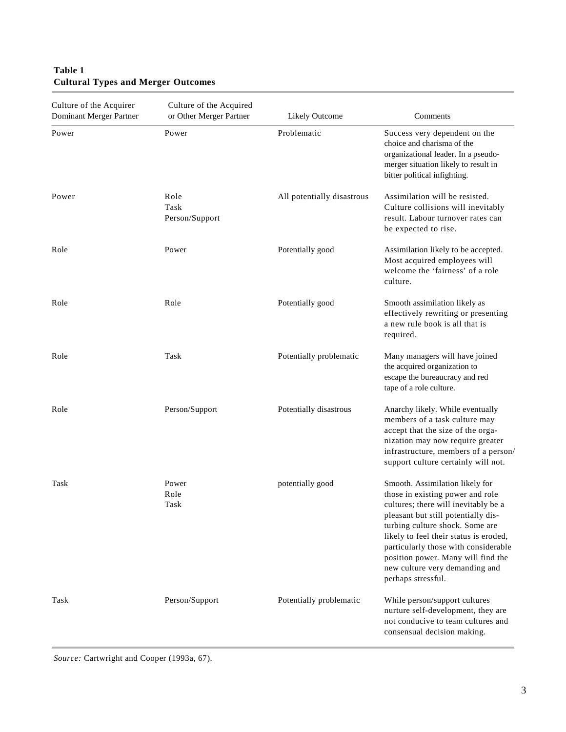### **Table 1 Cultural Types and Merger Outcomes**

| Culture of the Acquirer<br>Dominant Merger Partner | Culture of the Acquired<br>or Other Merger Partner | Likely Outcome             | Comments                                                                                                                                                                                                                                                                                                                                                              |
|----------------------------------------------------|----------------------------------------------------|----------------------------|-----------------------------------------------------------------------------------------------------------------------------------------------------------------------------------------------------------------------------------------------------------------------------------------------------------------------------------------------------------------------|
| Power                                              | Power                                              | Problematic                | Success very dependent on the<br>choice and charisma of the<br>organizational leader. In a pseudo-<br>merger situation likely to result in<br>bitter political infighting.                                                                                                                                                                                            |
| Power                                              | Role<br>Task<br>Person/Support                     | All potentially disastrous | Assimilation will be resisted.<br>Culture collisions will inevitably<br>result. Labour turnover rates can<br>be expected to rise.                                                                                                                                                                                                                                     |
| Role                                               | Power                                              | Potentially good           | Assimilation likely to be accepted.<br>Most acquired employees will<br>welcome the 'fairness' of a role<br>culture.                                                                                                                                                                                                                                                   |
| Role                                               | Role                                               | Potentially good           | Smooth assimilation likely as<br>effectively rewriting or presenting<br>a new rule book is all that is<br>required.                                                                                                                                                                                                                                                   |
| Role                                               | Task                                               | Potentially problematic    | Many managers will have joined<br>the acquired organization to<br>escape the bureaucracy and red<br>tape of a role culture.                                                                                                                                                                                                                                           |
| Role                                               | Person/Support                                     | Potentially disastrous     | Anarchy likely. While eventually<br>members of a task culture may<br>accept that the size of the orga-<br>nization may now require greater<br>infrastructure, members of a person/<br>support culture certainly will not.                                                                                                                                             |
| Task                                               | Power<br>Role<br>Task                              | potentially good           | Smooth. Assimilation likely for<br>those in existing power and role<br>cultures; there will inevitably be a<br>pleasant but still potentially dis-<br>turbing culture shock. Some are<br>likely to feel their status is eroded,<br>particularly those with considerable<br>position power. Many will find the<br>new culture very demanding and<br>perhaps stressful. |
| Task                                               | Person/Support                                     | Potentially problematic    | While person/support cultures<br>nurture self-development, they are<br>not conducive to team cultures and<br>consensual decision making.                                                                                                                                                                                                                              |

*Source:* Cartwright and Cooper (1993a, 67).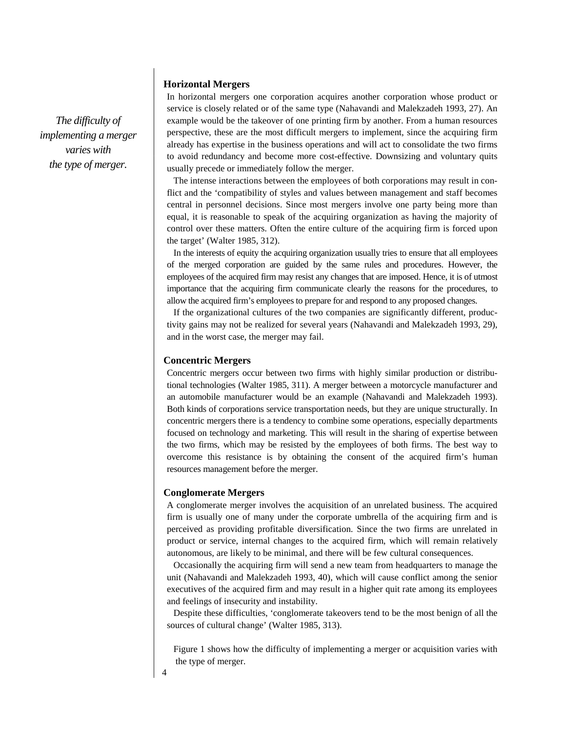*The difficulty of implementing a merger varies with the type of merger.*

### **Horizontal Mergers**

In horizontal mergers one corporation acquires another corporation whose product or service is closely related or of the same type (Nahavandi and Malekzadeh 1993, 27). An example would be the takeover of one printing firm by another. From a human resources perspective, these are the most difficult mergers to implement, since the acquiring firm already has expertise in the business operations and will act to consolidate the two firms to avoid redundancy and become more cost-effective. Downsizing and voluntary quits usually precede or immediately follow the merger.

The intense interactions between the employees of both corporations may result in conflict and the 'compatibility of styles and values between management and staff becomes central in personnel decisions. Since most mergers involve one party being more than equal, it is reasonable to speak of the acquiring organization as having the majority of control over these matters. Often the entire culture of the acquiring firm is forced upon the target' (Walter 1985, 312).

In the interests of equity the acquiring organization usually tries to ensure that all employees of the merged corporation are guided by the same rules and procedures. However, the employees of the acquired firm may resist any changes that are imposed. Hence, it is of utmost importance that the acquiring firm communicate clearly the reasons for the procedures, to allow the acquired firm's employees to prepare for and respond to any proposed changes.

If the organizational cultures of the two companies are significantly different, productivity gains may not be realized for several years (Nahavandi and Malekzadeh 1993, 29), and in the worst case, the merger may fail.

### **Concentric Mergers**

Concentric mergers occur between two firms with highly similar production or distributional technologies (Walter 1985, 311). A merger between a motorcycle manufacturer and an automobile manufacturer would be an example (Nahavandi and Malekzadeh 1993). Both kinds of corporations service transportation needs, but they are unique structurally. In concentric mergers there is a tendency to combine some operations, especially departments focused on technology and marketing. This will result in the sharing of expertise between the two firms, which may be resisted by the employees of both firms. The best way to overcome this resistance is by obtaining the consent of the acquired firm's human resources management before the merger.

### **Conglomerate Mergers**

A conglomerate merger involves the acquisition of an unrelated business. The acquired firm is usually one of many under the corporate umbrella of the acquiring firm and is perceived as providing profitable diversification. Since the two firms are unrelated in product or service, internal changes to the acquired firm, which will remain relatively autonomous, are likely to be minimal, and there will be few cultural consequences.

Occasionally the acquiring firm will send a new team from headquarters to manage the unit (Nahavandi and Malekzadeh 1993, 40), which will cause conflict among the senior executives of the acquired firm and may result in a higher quit rate among its employees and feelings of insecurity and instability.

Despite these difficulties, 'conglomerate takeovers tend to be the most benign of all the sources of cultural change' (Walter 1985, 313).

Figure 1 shows how the difficulty of implementing a merger or acquisition varies with the type of merger.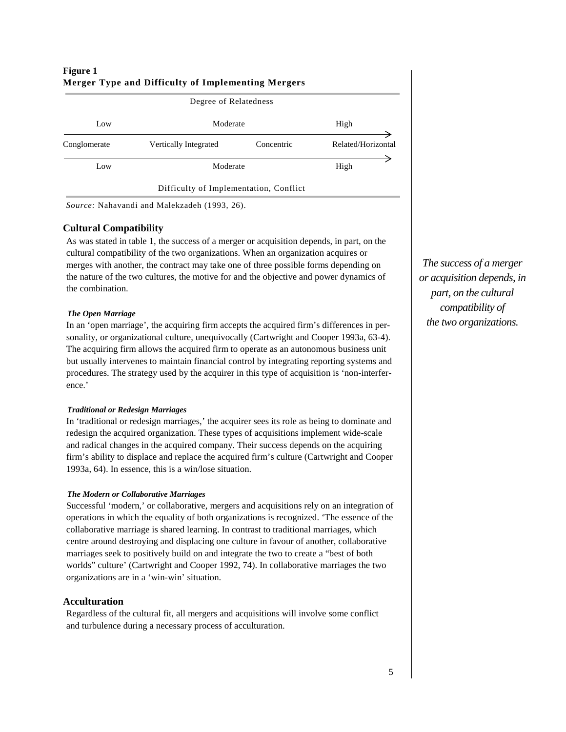| Figure 1<br>Merger Type and Difficulty of Implementing Mergers<br>Degree of Relatedness |                                        |            |                    |  |  |
|-----------------------------------------------------------------------------------------|----------------------------------------|------------|--------------------|--|--|
| Low                                                                                     | Moderate                               | High       |                    |  |  |
| Conglomerate                                                                            | Vertically Integrated                  | Concentric | Related/Horizontal |  |  |
| Low                                                                                     | Moderate                               |            | High               |  |  |
|                                                                                         | Difficulty of Implementation, Conflict |            |                    |  |  |

# **Figure 1**

*Source:* Nahavandi and Malekzadeh (1993, 26).

### **Cultural Compatibility**

As was stated in table 1, the success of a merger or acquisition depends, in part, on the cultural compatibility of the two organizations. When an organization acquires or merges with another, the contract may take one of three possible forms depending on the nature of the two cultures, the motive for and the objective and power dynamics of the combination.

### *The Open Marriage*

In an 'open marriage', the acquiring firm accepts the acquired firm's differences in personality, or organizational culture, unequivocally (Cartwright and Cooper 1993a, 63-4). The acquiring firm allows the acquired firm to operate as an autonomous business unit but usually intervenes to maintain financial control by integrating reporting systems and procedures. The strategy used by the acquirer in this type of acquisition is 'non-interference.'

### *Traditional or Redesign Marriages*

In 'traditional or redesign marriages,' the acquirer sees its role as being to dominate and redesign the acquired organization. These types of acquisitions implement wide-scale and radical changes in the acquired company. Their success depends on the acquiring firm's ability to displace and replace the acquired firm's culture (Cartwright and Cooper 1993a, 64). In essence, this is a win/lose situation.

### *The Modern or Collaborative Marriages*

Successful 'modern,' or collaborative, mergers and acquisitions rely on an integration of operations in which the equality of both organizations is recognized. 'The essence of the collaborative marriage is shared learning. In contrast to traditional marriages, which centre around destroying and displacing one culture in favour of another, collaborative marriages seek to positively build on and integrate the two to create a "best of both worlds" culture' (Cartwright and Cooper 1992, 74). In collaborative marriages the two organizations are in a 'win-win' situation.

### **Acculturation**

Regardless of the cultural fit, all mergers and acquisitions will involve some conflict and turbulence during a necessary process of acculturation.

*The success of a merger or acquisition depends, in part, on the cultural compatibility of the two organizations.*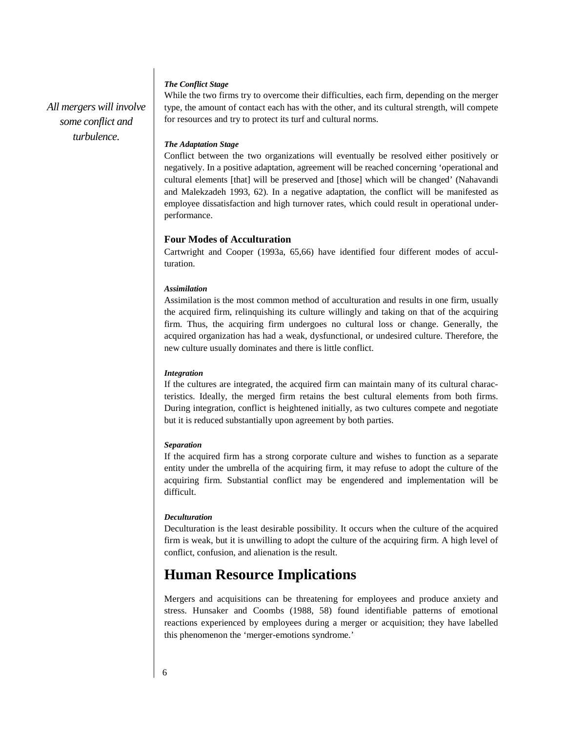### *The Conflict Stage*

*All mergers will involve some conflict and turbulence.*

While the two firms try to overcome their difficulties, each firm, depending on the merger type, the amount of contact each has with the other, and its cultural strength, will compete for resources and try to protect its turf and cultural norms.

### *The Adaptation Stage*

Conflict between the two organizations will eventually be resolved either positively or negatively. In a positive adaptation, agreement will be reached concerning 'operational and cultural elements [that] will be preserved and [those] which will be changed' (Nahavandi and Malekzadeh 1993, 62). In a negative adaptation, the conflict will be manifested as employee dissatisfaction and high turnover rates, which could result in operational underperformance.

### **Four Modes of Acculturation**

Cartwright and Cooper (1993a, 65,66) have identified four different modes of acculturation.

### *Assimilation*

Assimilation is the most common method of acculturation and results in one firm, usually the acquired firm, relinquishing its culture willingly and taking on that of the acquiring firm. Thus, the acquiring firm undergoes no cultural loss or change. Generally, the acquired organization has had a weak, dysfunctional, or undesired culture. Therefore, the new culture usually dominates and there is little conflict.

### *Integration*

If the cultures are integrated, the acquired firm can maintain many of its cultural characteristics. Ideally, the merged firm retains the best cultural elements from both firms. During integration, conflict is heightened initially, as two cultures compete and negotiate but it is reduced substantially upon agreement by both parties.

### *Separation*

If the acquired firm has a strong corporate culture and wishes to function as a separate entity under the umbrella of the acquiring firm, it may refuse to adopt the culture of the acquiring firm. Substantial conflict may be engendered and implementation will be difficult.

### *Deculturation*

Deculturation is the least desirable possibility. It occurs when the culture of the acquired firm is weak, but it is unwilling to adopt the culture of the acquiring firm. A high level of conflict, confusion, and alienation is the result.

# **Human Resource Implications**

Mergers and acquisitions can be threatening for employees and produce anxiety and stress. Hunsaker and Coombs (1988, 58) found identifiable patterns of emotional reactions experienced by employees during a merger or acquisition; they have labelled this phenomenon the 'merger-emotions syndrome.'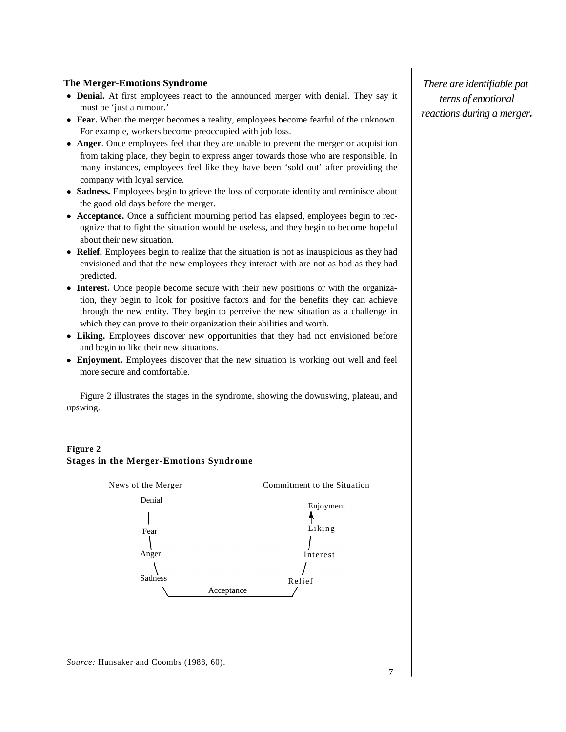### **The Merger-Emotions Syndrome**

- **Denial.** At first employees react to the announced merger with denial. They say it must be 'just a rumour.'
- **Fear.** When the merger becomes a reality, employees become fearful of the unknown. For example, workers become preoccupied with job loss.
- **Anger**. Once employees feel that they are unable to prevent the merger or acquisition from taking place, they begin to express anger towards those who are responsible. In many instances, employees feel like they have been 'sold out' after providing the company with loyal service.
- **Sadness.** Employees begin to grieve the loss of corporate identity and reminisce about the good old days before the merger.
- **Acceptance.** Once a sufficient mourning period has elapsed, employees begin to recognize that to fight the situation would be useless, and they begin to become hopeful about their new situation.
- **Relief.** Employees begin to realize that the situation is not as inauspicious as they had envisioned and that the new employees they interact with are not as bad as they had predicted.
- **Interest.** Once people become secure with their new positions or with the organization, they begin to look for positive factors and for the benefits they can achieve through the new entity. They begin to perceive the new situation as a challenge in which they can prove to their organization their abilities and worth.
- **Liking.** Employees discover new opportunities that they had not envisioned before and begin to like their new situations.
- **Enjoyment.** Employees discover that the new situation is working out well and feel more secure and comfortable.

Figure 2 illustrates the stages in the syndrome, showing the downswing, plateau, and upswing.

### **Figure 2 Stages in the Merger-Emotions Syndrome**



*There are identifiable pat terns of emotional reactions during a merger.*

*Source:* Hunsaker and Coombs (1988, 60).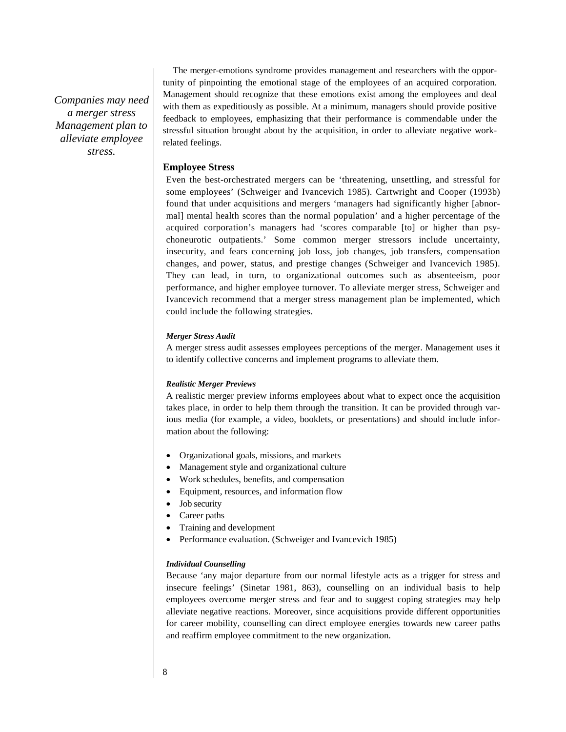*Companies may need a merger stress Management plan to alleviate employee stress.*

The merger-emotions syndrome provides management and researchers with the opportunity of pinpointing the emotional stage of the employees of an acquired corporation. Management should recognize that these emotions exist among the employees and deal with them as expeditiously as possible. At a minimum, managers should provide positive feedback to employees, emphasizing that their performance is commendable under the stressful situation brought about by the acquisition, in order to alleviate negative workrelated feelings.

### **Employee Stress**

Even the best-orchestrated mergers can be 'threatening, unsettling, and stressful for some employees' (Schweiger and Ivancevich 1985). Cartwright and Cooper (1993b) found that under acquisitions and mergers 'managers had significantly higher [abnormal] mental health scores than the normal population' and a higher percentage of the acquired corporation's managers had 'scores comparable [to] or higher than psychoneurotic outpatients.' Some common merger stressors include uncertainty, insecurity, and fears concerning job loss, job changes, job transfers, compensation changes, and power, status, and prestige changes (Schweiger and Ivancevich 1985). They can lead, in turn, to organizational outcomes such as absenteeism, poor performance, and higher employee turnover. To alleviate merger stress, Schweiger and Ivancevich recommend that a merger stress management plan be implemented, which could include the following strategies.

### *Merger Stress Audit*

A merger stress audit assesses employees perceptions of the merger. Management uses it to identify collective concerns and implement programs to alleviate them.

### *Realistic Merger Previews*

A realistic merger preview informs employees about what to expect once the acquisition takes place, in order to help them through the transition. It can be provided through various media (for example, a video, booklets, or presentations) and should include information about the following:

- Organizational goals, missions, and markets
- Management style and organizational culture
- Work schedules, benefits, and compensation
- Equipment, resources, and information flow
- Job security
- Career paths
- Training and development
- Performance evaluation. (Schweiger and Ivancevich 1985)

### *Individual Counselling*

Because 'any major departure from our normal lifestyle acts as a trigger for stress and insecure feelings' (Sinetar 1981, 863), counselling on an individual basis to help employees overcome merger stress and fear and to suggest coping strategies may help alleviate negative reactions. Moreover, since acquisitions provide different opportunities for career mobility, counselling can direct employee energies towards new career paths and reaffirm employee commitment to the new organization.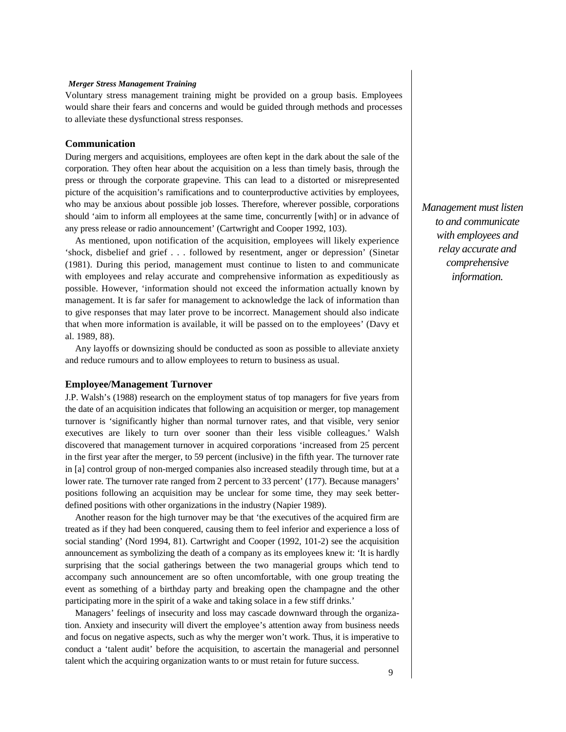#### *Merger Stress Management Training*

Voluntary stress management training might be provided on a group basis. Employees would share their fears and concerns and would be guided through methods and processes to alleviate these dysfunctional stress responses.

#### **Communication**

During mergers and acquisitions, employees are often kept in the dark about the sale of the corporation. They often hear about the acquisition on a less than timely basis, through the press or through the corporate grapevine. This can lead to a distorted or misrepresented picture of the acquisition's ramifications and to counterproductive activities by employees, who may be anxious about possible job losses. Therefore, wherever possible, corporations should 'aim to inform all employees at the same time, concurrently [with] or in advance of any press release or radio announcement' (Cartwright and Cooper 1992, 103).

As mentioned, upon notification of the acquisition, employees will likely experience 'shock, disbelief and grief . . . followed by resentment, anger or depression' (Sinetar (1981). During this period, management must continue to listen to and communicate with employees and relay accurate and comprehensive information as expeditiously as possible. However, 'information should not exceed the information actually known by management. It is far safer for management to acknowledge the lack of information than to give responses that may later prove to be incorrect. Management should also indicate that when more information is available, it will be passed on to the employees' (Davy et al. 1989, 88).

Any layoffs or downsizing should be conducted as soon as possible to alleviate anxiety and reduce rumours and to allow employees to return to business as usual.

#### **Employee/Management Turnover**

J.P. Walsh's (1988) research on the employment status of top managers for five years from the date of an acquisition indicates that following an acquisition or merger, top management turnover is 'significantly higher than normal turnover rates, and that visible, very senior executives are likely to turn over sooner than their less visible colleagues.' Walsh discovered that management turnover in acquired corporations 'increased from 25 percent in the first year after the merger, to 59 percent (inclusive) in the fifth year. The turnover rate in [a] control group of non-merged companies also increased steadily through time, but at a lower rate. The turnover rate ranged from 2 percent to 33 percent' (177). Because managers' positions following an acquisition may be unclear for some time, they may seek betterdefined positions with other organizations in the industry (Napier 1989).

Another reason for the high turnover may be that 'the executives of the acquired firm are treated as if they had been conquered, causing them to feel inferior and experience a loss of social standing' (Nord 1994, 81). Cartwright and Cooper (1992, 101-2) see the acquisition announcement as symbolizing the death of a company as its employees knew it: 'It is hardly surprising that the social gatherings between the two managerial groups which tend to accompany such announcement are so often uncomfortable, with one group treating the event as something of a birthday party and breaking open the champagne and the other participating more in the spirit of a wake and taking solace in a few stiff drinks.'

Managers' feelings of insecurity and loss may cascade downward through the organization. Anxiety and insecurity will divert the employee's attention away from business needs and focus on negative aspects, such as why the merger won't work. Thus, it is imperative to conduct a 'talent audit' before the acquisition, to ascertain the managerial and personnel talent which the acquiring organization wants to or must retain for future success.

*Management must listen to and communicate with employees and relay accurate and comprehensive information.*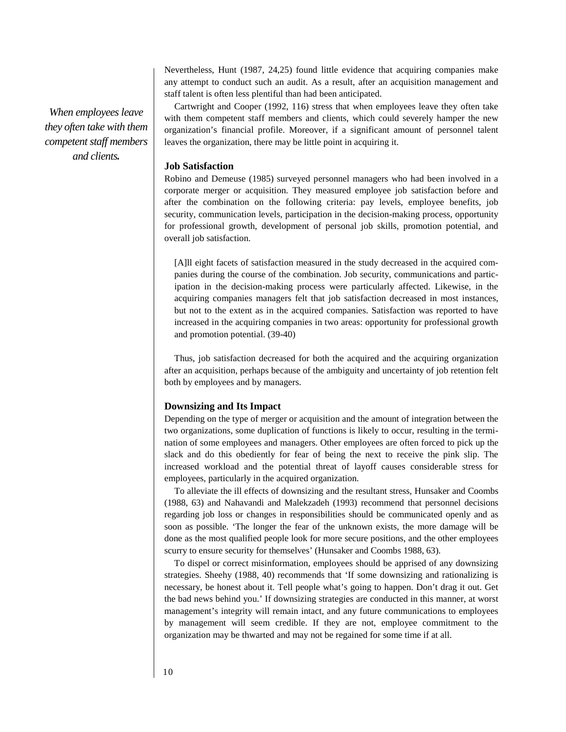*When employees leave they often take with them competent staff members and clients.*

Nevertheless, Hunt (1987, 24,25) found little evidence that acquiring companies make any attempt to conduct such an audit. As a result, after an acquisition management and staff talent is often less plentiful than had been anticipated.

Cartwright and Cooper (1992, 116) stress that when employees leave they often take with them competent staff members and clients, which could severely hamper the new organization's financial profile. Moreover, if a significant amount of personnel talent leaves the organization, there may be little point in acquiring it.

### **Job Satisfaction**

Robino and Demeuse (1985) surveyed personnel managers who had been involved in a corporate merger or acquisition. They measured employee job satisfaction before and after the combination on the following criteria: pay levels, employee benefits, job security, communication levels, participation in the decision-making process, opportunity for professional growth, development of personal job skills, promotion potential, and overall job satisfaction.

[A]ll eight facets of satisfaction measured in the study decreased in the acquired companies during the course of the combination. Job security, communications and participation in the decision-making process were particularly affected. Likewise, in the acquiring companies managers felt that job satisfaction decreased in most instances, but not to the extent as in the acquired companies. Satisfaction was reported to have increased in the acquiring companies in two areas: opportunity for professional growth and promotion potential. (39-40)

Thus, job satisfaction decreased for both the acquired and the acquiring organization after an acquisition, perhaps because of the ambiguity and uncertainty of job retention felt both by employees and by managers.

### **Downsizing and Its Impact**

Depending on the type of merger or acquisition and the amount of integration between the two organizations, some duplication of functions is likely to occur, resulting in the termination of some employees and managers. Other employees are often forced to pick up the slack and do this obediently for fear of being the next to receive the pink slip. The increased workload and the potential threat of layoff causes considerable stress for employees, particularly in the acquired organization.

To alleviate the ill effects of downsizing and the resultant stress, Hunsaker and Coombs (1988, 63) and Nahavandi and Malekzadeh (1993) recommend that personnel decisions regarding job loss or changes in responsibilities should be communicated openly and as soon as possible. 'The longer the fear of the unknown exists, the more damage will be done as the most qualified people look for more secure positions, and the other employees scurry to ensure security for themselves' (Hunsaker and Coombs 1988, 63).

To dispel or correct misinformation, employees should be apprised of any downsizing strategies. Sheehy (1988, 40) recommends that 'If some downsizing and rationalizing is necessary, be honest about it. Tell people what's going to happen. Don't drag it out. Get the bad news behind you.' If downsizing strategies are conducted in this manner, at worst management's integrity will remain intact, and any future communications to employees by management will seem credible. If they are not, employee commitment to the organization may be thwarted and may not be regained for some time if at all.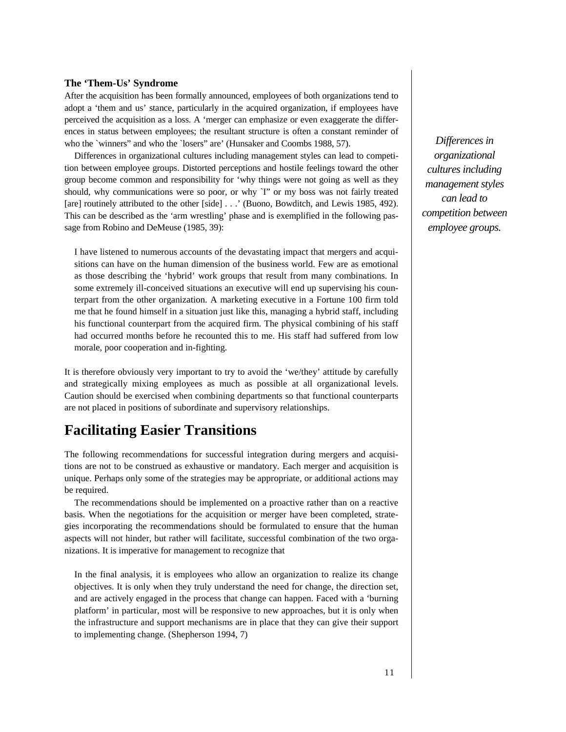### **The 'Them-Us' Syndrome**

After the acquisition has been formally announced, employees of both organizations tend to adopt a 'them and us' stance, particularly in the acquired organization, if employees have perceived the acquisition as a loss. A 'merger can emphasize or even exaggerate the differences in status between employees; the resultant structure is often a constant reminder of who the `winners' and who the `losers' are' (Hunsaker and Coombs 1988, 57).

Differences in organizational cultures including management styles can lead to competition between employee groups. Distorted perceptions and hostile feelings toward the other group become common and responsibility for 'why things were not going as well as they should, why communications were so poor, or why `I'' or my boss was not fairly treated [are] routinely attributed to the other [side] . . .' (Buono, Bowditch, and Lewis 1985, 492). This can be described as the 'arm wrestling' phase and is exemplified in the following passage from Robino and DeMeuse (1985, 39):

I have listened to numerous accounts of the devastating impact that mergers and acquisitions can have on the human dimension of the business world. Few are as emotional as those describing the 'hybrid' work groups that result from many combinations. In some extremely ill-conceived situations an executive will end up supervising his counterpart from the other organization. A marketing executive in a Fortune 100 firm told me that he found himself in a situation just like this, managing a hybrid staff, including his functional counterpart from the acquired firm. The physical combining of his staff had occurred months before he recounted this to me. His staff had suffered from low morale, poor cooperation and in-fighting.

It is therefore obviously very important to try to avoid the 'we/they' attitude by carefully and strategically mixing employees as much as possible at all organizational levels. Caution should be exercised when combining departments so that functional counterparts are not placed in positions of subordinate and supervisory relationships.

### **Facilitating Easier Transitions**

The following recommendations for successful integration during mergers and acquisitions are not to be construed as exhaustive or mandatory. Each merger and acquisition is unique. Perhaps only some of the strategies may be appropriate, or additional actions may be required.

The recommendations should be implemented on a proactive rather than on a reactive basis. When the negotiations for the acquisition or merger have been completed, strategies incorporating the recommendations should be formulated to ensure that the human aspects will not hinder, but rather will facilitate, successful combination of the two organizations. It is imperative for management to recognize that

In the final analysis, it is employees who allow an organization to realize its change objectives. It is only when they truly understand the need for change, the direction set, and are actively engaged in the process that change can happen. Faced with a 'burning platform' in particular, most will be responsive to new approaches, but it is only when the infrastructure and support mechanisms are in place that they can give their support to implementing change. (Shepherson 1994, 7)

*Differences in organizational cultures including management styles can lead to competition between employee groups.*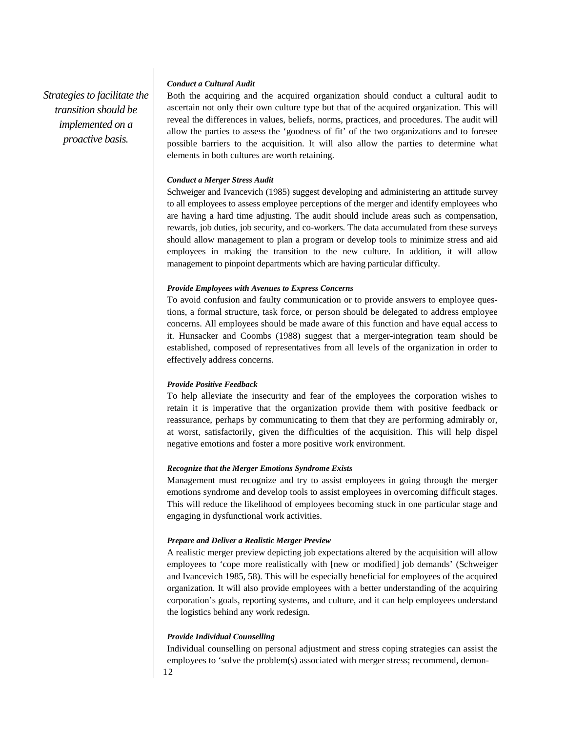*Strategies to facilitate the transition should be implemented on a proactive basis.*

### *Conduct a Cultural Audit*

Both the acquiring and the acquired organization should conduct a cultural audit to ascertain not only their own culture type but that of the acquired organization. This will reveal the differences in values, beliefs, norms, practices, and procedures. The audit will allow the parties to assess the 'goodness of fit' of the two organizations and to foresee possible barriers to the acquisition. It will also allow the parties to determine what elements in both cultures are worth retaining.

### *Conduct a Merger Stress Audit*

Schweiger and Ivancevich (1985) suggest developing and administering an attitude survey to all employees to assess employee perceptions of the merger and identify employees who are having a hard time adjusting. The audit should include areas such as compensation, rewards, job duties, job security, and co-workers. The data accumulated from these surveys should allow management to plan a program or develop tools to minimize stress and aid employees in making the transition to the new culture. In addition, it will allow management to pinpoint departments which are having particular difficulty.

### *Provide Employees with Avenues to Express Concerns*

To avoid confusion and faulty communication or to provide answers to employee questions, a formal structure, task force, or person should be delegated to address employee concerns. All employees should be made aware of this function and have equal access to it. Hunsacker and Coombs (1988) suggest that a merger-integration team should be established, composed of representatives from all levels of the organization in order to effectively address concerns.

#### *Provide Positive Feedback*

To help alleviate the insecurity and fear of the employees the corporation wishes to retain it is imperative that the organization provide them with positive feedback or reassurance, perhaps by communicating to them that they are performing admirably or, at worst, satisfactorily, given the difficulties of the acquisition. This will help dispel negative emotions and foster a more positive work environment.

### *Recognize that the Merger Emotions Syndrome Exists*

Management must recognize and try to assist employees in going through the merger emotions syndrome and develop tools to assist employees in overcoming difficult stages. This will reduce the likelihood of employees becoming stuck in one particular stage and engaging in dysfunctional work activities.

#### *Prepare and Deliver a Realistic Merger Preview*

A realistic merger preview depicting job expectations altered by the acquisition will allow employees to 'cope more realistically with [new or modified] job demands' (Schweiger and Ivancevich 1985, 58). This will be especially beneficial for employees of the acquired organization. It will also provide employees with a better understanding of the acquiring corporation's goals, reporting systems, and culture, and it can help employees understand the logistics behind any work redesign.

### *Provide Individual Counselling*

Individual counselling on personal adjustment and stress coping strategies can assist the employees to 'solve the problem(s) associated with merger stress; recommend, demon-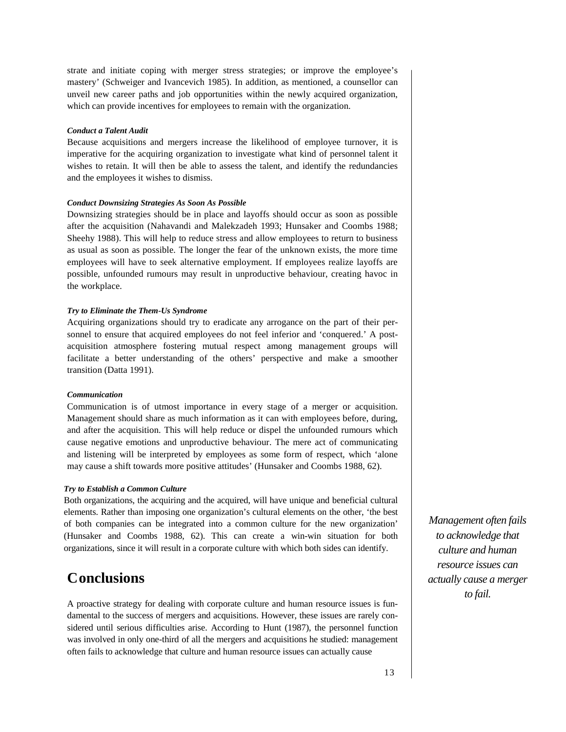strate and initiate coping with merger stress strategies; or improve the employee's mastery' (Schweiger and Ivancevich 1985). In addition, as mentioned, a counsellor can unveil new career paths and job opportunities within the newly acquired organization, which can provide incentives for employees to remain with the organization.

### *Conduct a Talent Audit*

Because acquisitions and mergers increase the likelihood of employee turnover, it is imperative for the acquiring organization to investigate what kind of personnel talent it wishes to retain. It will then be able to assess the talent, and identify the redundancies and the employees it wishes to dismiss.

### *Conduct Downsizing Strategies As Soon As Possible*

Downsizing strategies should be in place and layoffs should occur as soon as possible after the acquisition (Nahavandi and Malekzadeh 1993; Hunsaker and Coombs 1988; Sheehy 1988). This will help to reduce stress and allow employees to return to business as usual as soon as possible. The longer the fear of the unknown exists, the more time employees will have to seek alternative employment. If employees realize layoffs are possible, unfounded rumours may result in unproductive behaviour, creating havoc in the workplace.

### *Try to Eliminate the Them-Us Syndrome*

Acquiring organizations should try to eradicate any arrogance on the part of their personnel to ensure that acquired employees do not feel inferior and 'conquered.' A postacquisition atmosphere fostering mutual respect among management groups will facilitate a better understanding of the others' perspective and make a smoother transition (Datta 1991).

### *Communication*

Communication is of utmost importance in every stage of a merger or acquisition. Management should share as much information as it can with employees before, during, and after the acquisition. This will help reduce or dispel the unfounded rumours which cause negative emotions and unproductive behaviour. The mere act of communicating and listening will be interpreted by employees as some form of respect, which 'alone may cause a shift towards more positive attitudes' (Hunsaker and Coombs 1988, 62).

### *Try to Establish a Common Culture*

Both organizations, the acquiring and the acquired, will have unique and beneficial cultural elements. Rather than imposing one organization's cultural elements on the other, 'the best of both companies can be integrated into a common culture for the new organization' (Hunsaker and Coombs 1988, 62). This can create a win-win situation for both organizations, since it will result in a corporate culture with which both sides can identify.

# **Conclusions**

A proactive strategy for dealing with corporate culture and human resource issues is fundamental to the success of mergers and acquisitions. However, these issues are rarely considered until serious difficulties arise. According to Hunt (1987), the personnel function was involved in only one-third of all the mergers and acquisitions he studied: management often fails to acknowledge that culture and human resource issues can actually cause

*Management often fails to acknowledge that culture and human resource issues can actually cause a merger to fail.*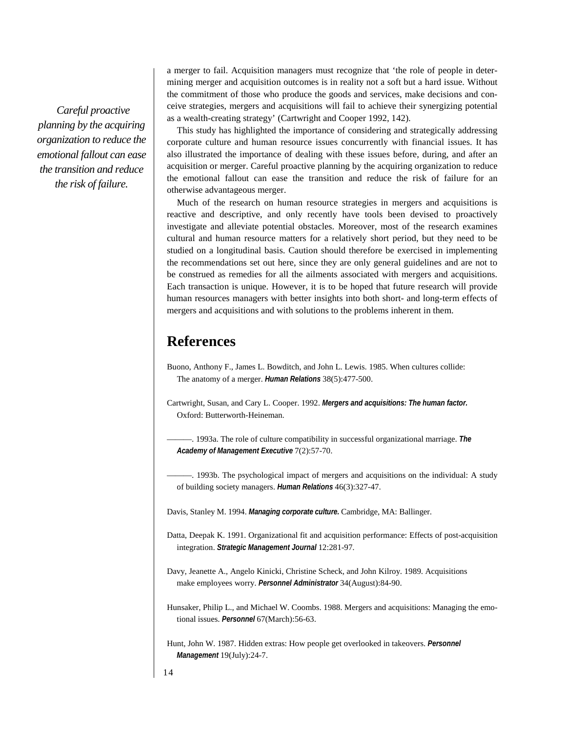*Careful proactive planning by the acquiring organization to reduce the emotional fallout can ease the transition and reduce the risk of failure.*

a merger to fail. Acquisition managers must recognize that 'the role of people in determining merger and acquisition outcomes is in reality not a soft but a hard issue. Without the commitment of those who produce the goods and services, make decisions and conceive strategies, mergers and acquisitions will fail to achieve their synergizing potential as a wealth-creating strategy' (Cartwright and Cooper 1992, 142).

This study has highlighted the importance of considering and strategically addressing corporate culture and human resource issues concurrently with financial issues. It has also illustrated the importance of dealing with these issues before, during, and after an acquisition or merger. Careful proactive planning by the acquiring organization to reduce the emotional fallout can ease the transition and reduce the risk of failure for an otherwise advantageous merger.

Much of the research on human resource strategies in mergers and acquisitions is reactive and descriptive, and only recently have tools been devised to proactively investigate and alleviate potential obstacles. Moreover, most of the research examines cultural and human resource matters for a relatively short period, but they need to be studied on a longitudinal basis. Caution should therefore be exercised in implementing the recommendations set out here, since they are only general guidelines and are not to be construed as remedies for all the ailments associated with mergers and acquisitions. Each transaction is unique. However, it is to be hoped that future research will provide human resources managers with better insights into both short- and long-term effects of mergers and acquisitions and with solutions to the problems inherent in them.

### **References**

Buono, Anthony F., James L. Bowditch, and John L. Lewis. 1985. When cultures collide: The anatomy of a merger. *Human Relations* 38(5):477-500.

Cartwright, Susan, and Cary L. Cooper. 1992. *Mergers and acquisitions: The human factor.*  Oxford: Butterworth-Heineman.

———. 1993a. The role of culture compatibility in successful organizational marriage. *The Academy of Management Executive* 7(2):57-70.

———. 1993b. The psychological impact of mergers and acquisitions on the individual: A study of building society managers. *Human Relations* 46(3):327-47.

Davis, Stanley M. 1994. *Managing corporate culture.* Cambridge, MA: Ballinger.

Datta, Deepak K. 1991. Organizational fit and acquisition performance: Effects of post-acquisition integration. *Strategic Management Journal* 12:281-97.

Davy, Jeanette A., Angelo Kinicki, Christine Scheck, and John Kilroy. 1989. Acquisitions make employees worry. *Personnel Administrator* 34(August):84-90.

Hunsaker, Philip L., and Michael W. Coombs. 1988. Mergers and acquisitions: Managing the emotional issues. *Personnel* 67(March):56-63.

Hunt, John W. 1987. Hidden extras: How people get overlooked in takeovers. *Personnel Management* 19(July):24-7.